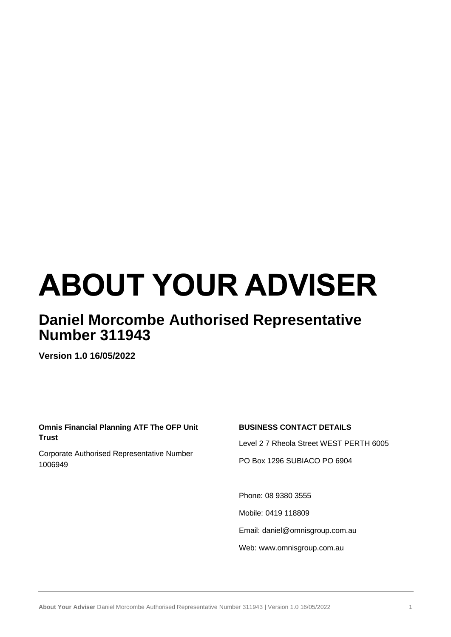# **ABOUT YOUR ADVISER**

# **Daniel Morcombe Authorised Representative Number 311943**

**Version 1.0 16/05/2022**

# **Omnis Financial Planning ATF The OFP Unit Trust**

Corporate Authorised Representative Number 1006949

# **BUSINESS CONTACT DETAILS**

Level 2 7 Rheola Street WEST PERTH 6005 PO Box 1296 SUBIACO PO 6904

Phone: 08 9380 3555 Mobile: 0419 118809 Email: daniel@omnisgroup.com.au Web: www.omnisgroup.com.au